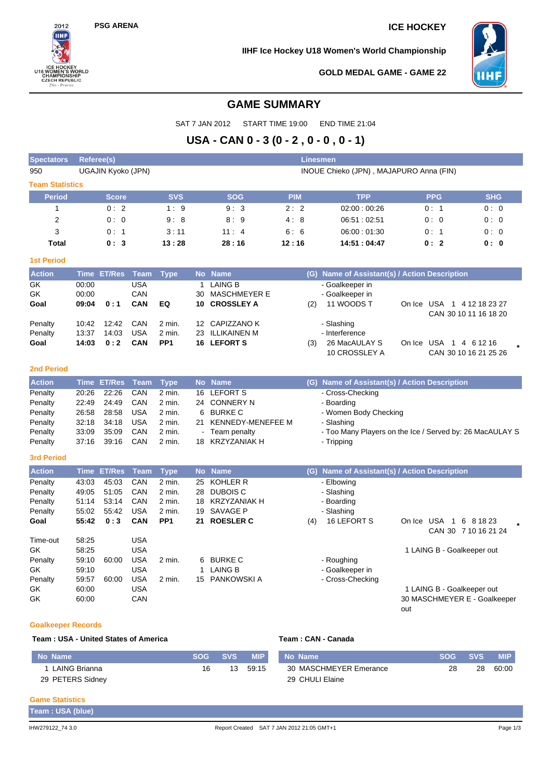$2012$ 

CHAMPIONSHIP<br>CZECH REPUBLIC Zlin - Pre

**DRLD** 

1118

### **PSG ARENA ICE HOCKEY**

**IIHF Ice Hockey U18 Women's World Championship**



**GOLD MEDAL GAME - GAME 22**

## **GAME SUMMARY**

SAT 7 JAN 2012 START TIME 19:00 END TIME 21:04

# **USA - CAN 0 - 3 (0 - 2 , 0 - 0 , 0 - 1)**

| <b>Spectators</b>       | Referee(s)         |               |             | <b>Linesmen</b> |           |                     |                                         |     |                                                          |     |                        |                              |  |  |
|-------------------------|--------------------|---------------|-------------|-----------------|-----------|---------------------|-----------------------------------------|-----|----------------------------------------------------------|-----|------------------------|------------------------------|--|--|
| 950                     | UGAJIN Kyoko (JPN) |               |             |                 |           |                     | INOUE Chieko (JPN), MAJAPURO Anna (FIN) |     |                                                          |     |                        |                              |  |  |
| <b>Team Statistics</b>  |                    |               |             |                 |           |                     |                                         |     |                                                          |     |                        |                              |  |  |
| <b>Period</b>           |                    | <b>Score</b>  |             | <b>SVS</b>      |           | <b>SOG</b>          | <b>PIM</b>                              |     | <b>TPP</b>                                               |     | <b>PPG</b>             | <b>SHG</b>                   |  |  |
| $\mathbf{1}$            |                    | 0:2           |             | 1:9             |           | 9:3                 | 2:2                                     |     | 02:00:00:26                                              |     | 0:1                    | 0:0                          |  |  |
| $\overline{\mathbf{c}}$ |                    | 0:0           |             | 9:8             |           | 8:9                 | 4:8                                     |     | 06:51:02:51                                              |     | 0: 0                   | 0:0                          |  |  |
| 3                       |                    | 0:1           |             | 3:11            |           | 11:4                | 6:6                                     |     | 06:00:01:30                                              |     | 0:1                    | 0:0                          |  |  |
| <b>Total</b>            |                    | 0:3           |             | 13:28           |           | 28:16               | 14:51:04:47<br>12:16                    |     |                                                          |     | 0:2                    | 0:0                          |  |  |
| <b>1st Period</b>       |                    |               |             |                 |           |                     |                                         |     |                                                          |     |                        |                              |  |  |
| <b>Action</b>           | <b>Time</b>        | <b>ET/Res</b> | <b>Team</b> | <b>Type</b>     | <b>No</b> | <b>Name</b>         |                                         | (G) | Name of Assistant(s) / Action Description                |     |                        |                              |  |  |
| GK                      | 00:00              |               | <b>USA</b>  |                 | 1         | <b>LAING B</b>      |                                         |     | - Goalkeeper in                                          |     |                        |                              |  |  |
| GK                      | 00:00              |               | CAN         |                 | 30        | <b>MASCHMEYER E</b> |                                         |     | - Goalkeeper in                                          |     |                        |                              |  |  |
| Goal                    | 09:04              | 0:1           | CAN         | EQ              | 10        | <b>CROSSLEY A</b>   |                                         | (2) | 11 WOODS T                                               |     |                        | On Ice USA 1 4 12 18 23 27   |  |  |
|                         |                    |               |             |                 |           |                     |                                         |     |                                                          |     |                        | CAN 30 10 11 16 18 20        |  |  |
| Penalty                 | 10:42              | 12:42         | CAN         | 2 min.          |           | 12 CAPIZZANO K      |                                         |     | - Slashing                                               |     |                        |                              |  |  |
| Penalty                 | 13:37              | 14:03         | <b>USA</b>  | 2 min.          |           | 23 ILLIKAINEN M     |                                         |     | - Interference                                           |     |                        |                              |  |  |
| Goal                    | 14:03              | 0:2           | CAN         | PP <sub>1</sub> | 16        | <b>LEFORT S</b>     |                                         | (3) | 26 MacAULAY S                                            |     | On Ice USA 1 4 6 12 16 |                              |  |  |
|                         |                    |               |             |                 |           |                     |                                         |     | 10 CROSSLEY A                                            |     |                        | CAN 30 10 16 21 25 26        |  |  |
| <b>2nd Period</b>       |                    |               |             |                 |           |                     |                                         |     |                                                          |     |                        |                              |  |  |
| <b>Action</b>           | <b>Time</b>        | <b>ET/Res</b> | <b>Team</b> | <b>Type</b>     |           | No Name             |                                         |     | (G) Name of Assistant(s) / Action Description            |     |                        |                              |  |  |
| Penalty                 | 20:26              | 22:26         | CAN         | 2 min.          | 16        | <b>LEFORT S</b>     |                                         |     | - Cross-Checking                                         |     |                        |                              |  |  |
| Penalty                 | 22:49              | 24:49         | CAN         | 2 min.          |           | 24 CONNERY N        |                                         |     | - Boarding                                               |     |                        |                              |  |  |
| Penalty                 | 26:58              | 28:58         | <b>USA</b>  | 2 min.          | 6         | <b>BURKE C</b>      |                                         |     | - Women Body Checking                                    |     |                        |                              |  |  |
| Penalty                 | 32:18              | 34:18         | <b>USA</b>  | 2 min.          | 21        | KENNEDY-MENEFEE M   |                                         |     | - Slashing                                               |     |                        |                              |  |  |
| Penalty                 | 33:09              | 35:09         | CAN         | 2 min.          |           | Team penalty        |                                         |     | - Too Many Players on the Ice / Served by: 26 MacAULAY S |     |                        |                              |  |  |
| Penalty                 | 37:16              | 39:16         | CAN         | 2 min.          | 18        | KRZYZANIAK H        |                                         |     | - Tripping                                               |     |                        |                              |  |  |
| <b>3rd Period</b>       |                    |               |             |                 |           |                     |                                         |     |                                                          |     |                        |                              |  |  |
| <b>Action</b>           | <b>Time</b>        | <b>ET/Res</b> | <b>Team</b> | <b>Type</b>     |           | No Name             |                                         |     | (G) Name of Assistant(s) / Action Description            |     |                        |                              |  |  |
| Penalty                 | 43:03              | 45:03         | CAN         | 2 min.          | 25        | KOHLER R            |                                         |     | - Elbowing                                               |     |                        |                              |  |  |
| Penalty                 | 49:05              | 51:05         | CAN         | 2 min.          | 28        | <b>DUBOIS C</b>     |                                         |     | - Slashing                                               |     |                        |                              |  |  |
| Penalty                 | 51:14              | 53:14         | CAN         | 2 min.          | 18        | KRZYZANIAK H        |                                         |     | - Boarding                                               |     |                        |                              |  |  |
| Penalty                 | 55:02              | 55:42         | <b>USA</b>  | 2 min.          | 19        | <b>SAVAGE P</b>     |                                         |     | - Slashing                                               |     |                        |                              |  |  |
| Goal                    | 55:42              | 0:3           | CAN         | PP <sub>1</sub> |           | 21 ROESLER C        |                                         | (4) | 16 LEFORT S                                              |     | On Ice USA 1 6 8 18 23 | CAN 30 7 10 16 21 24         |  |  |
| Time-out                | 58:25              |               | <b>USA</b>  |                 |           |                     |                                         |     |                                                          |     |                        |                              |  |  |
| GK                      | 58:25              |               | <b>USA</b>  |                 |           |                     |                                         |     |                                                          |     |                        | 1 LAING B - Goalkeeper out   |  |  |
| Penalty                 | 59:10              | 60:00         | <b>USA</b>  | 2 min.          | 6         | <b>BURKE C</b>      |                                         |     | - Roughing                                               |     |                        |                              |  |  |
| GK                      | 59:10              |               | <b>USA</b>  |                 | 1         | <b>LAING B</b>      |                                         |     | - Goalkeeper in                                          |     |                        |                              |  |  |
| Penalty                 | 59:57              | 60:00         | <b>USA</b>  | $2$ min.        | 15        | PANKOWSKI A         |                                         |     | - Cross-Checking                                         |     |                        |                              |  |  |
| GK                      | 60:00              |               | <b>USA</b>  |                 |           |                     |                                         |     |                                                          |     |                        | 1 LAING B - Goalkeeper out   |  |  |
| GK                      | 60:00              |               | CAN         |                 |           |                     |                                         |     |                                                          | out |                        | 30 MASCHMEYER E - Goalkeeper |  |  |
|                         |                    |               |             |                 |           |                     |                                         |     |                                                          |     |                        |                              |  |  |

## **Goalkeeper Records**

## **Team : USA - United States of America Team : CAN - Canada**

| No Name          | <b>SOG</b> | <b>SVS</b> | <b>MIP</b> | No Name                | <b>SOG</b> | <b>SVS</b> | <b>MIP</b> |
|------------------|------------|------------|------------|------------------------|------------|------------|------------|
| LAING Brianna    | 16         | 13         | 59:15      | 30 MASCHMEYER Emerance | 28         | 28         | 60:00      |
| 29 PETERS Sidney |            |            |            | 29 CHULI Elaine        |            |            |            |

## **Game Statistics**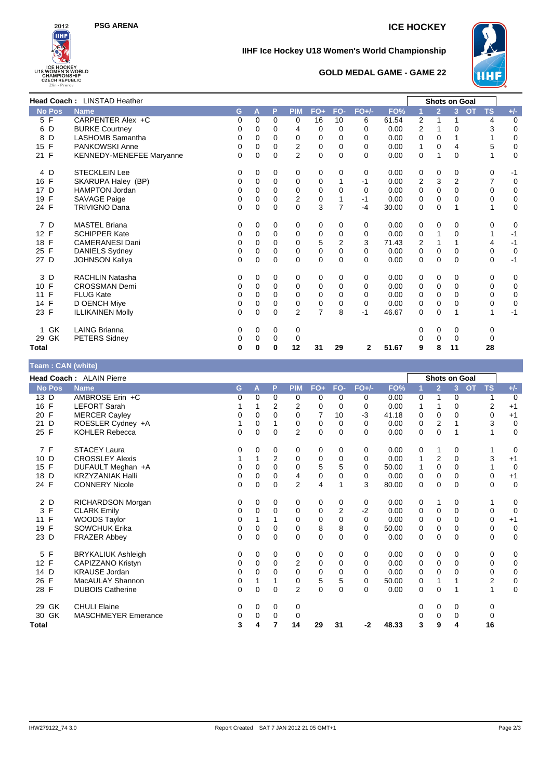



### **IIHF Ice Hockey U18 Women's World Championship**



### **GOLD MEDAL GAME - GAME 22**

|                    | Head Coach: LINSTAD Heather     |   |          |          |                |                |                |          |       | <b>Shots on Goal</b> |                |                |           |           |             |
|--------------------|---------------------------------|---|----------|----------|----------------|----------------|----------------|----------|-------|----------------------|----------------|----------------|-----------|-----------|-------------|
| <b>No Pos</b>      | <b>Name</b>                     | G | A        | P        | <b>PIM</b>     | $FO+$          | FO-            | $FO+/-$  | FO%   |                      | $\overline{2}$ | 3              | <b>OT</b> | <b>TS</b> | $+/-$       |
| 5 F                | CARPENTER Alex +C               | 0 | 0        | $\Omega$ | 0              | 16             | 10             | 6        | 61.54 | 2                    | 1              | 1              |           | 4         | $\mathbf 0$ |
| 6 D                | <b>BURKE Courtney</b>           | 0 | 0        | $\Omega$ | 4              | 0              | 0              | 0        | 0.00  | 2                    |                | 0              |           | 3         | $\mathbf 0$ |
| D<br>8             | LASHOMB Samantha                | 0 | 0        | 0        | 0              | 0              | 0              | 0        | 0.00  | 0                    | 0              |                |           |           | $\mathbf 0$ |
| F<br>15            | PANKOWSKI Anne                  | 0 | 0        | 0        | $\overline{2}$ | 0              | 0              | $\Omega$ | 0.00  | 1                    | 0              | 4              |           | 5         | $\mathbf 0$ |
| 21 F               | <b>KENNEDY-MENEFEE Maryanne</b> | 0 | 0        | $\Omega$ | $\overline{2}$ | $\mathbf 0$    | $\Omega$       | $\Omega$ | 0.00  | $\mathbf 0$          | 1              | $\mathbf 0$    |           | 1         | 0           |
| 4 D                | <b>STECKLEIN Lee</b>            | 0 | 0        | 0        | 0              | 0              | 0              | 0        | 0.00  | 0                    | 0              | 0              |           | 0         | -1          |
| 16 F               | SKARUPA Haley (BP)              | 0 | 0        | 0        | 0              | 0              | 1              | $-1$     | 0.00  | 2                    | 3              | $\overline{2}$ |           | 7         | 0           |
| D<br>17            | <b>HAMPTON Jordan</b>           | 0 | 0        | 0        | 0              | 0              | 0              | 0        | 0.00  | 0                    | 0              | 0              |           | 0         | $\mathbf 0$ |
| F<br>19            | SAVAGE Paige                    | 0 | 0        | $\Omega$ | $\overline{2}$ | $\mathbf 0$    | 1              | $-1$     | 0.00  | 0                    | 0              | $\Omega$       |           | 0         | $\pmb{0}$   |
| 24 F               | <b>TRIVIGNO Dana</b>            | 0 | 0        | $\Omega$ | $\Omega$       | 3              | $\overline{7}$ | $-4$     | 30.00 | 0                    | $\Omega$       |                |           | 1         | $\mathbf 0$ |
| 7 D                | <b>MASTEL Briana</b>            | 0 | 0        | 0        | 0              | 0              | 0              | 0        | 0.00  | 0                    | 0              | 0              |           | 0         | 0           |
| 12 F               | <b>SCHIPPER Kate</b>            | 0 | 0        | 0        | 0              | 0              | 0              | 0        | 0.00  | 0                    | 1              | $\Omega$       |           |           | $-1$        |
| 18<br>F            | <b>CAMERANESI Dani</b>          | 0 | 0        | 0        | 0              | 5              | $\overline{2}$ | 3        | 71.43 | 2                    |                |                |           | 4         | $-1$        |
| $\mathsf{F}$<br>25 | <b>DANIELS Sydney</b>           | 0 | 0        | $\Omega$ | $\Omega$       | 0              | 0              | $\Omega$ | 0.00  | 0                    | 0              | $\Omega$       |           | 0         | $\mathbf 0$ |
| 27 D               | <b>JOHNSON Kaliya</b>           | 0 | $\Omega$ | $\Omega$ | $\Omega$       | $\mathbf 0$    | $\Omega$       | $\Omega$ | 0.00  | 0                    | 0              | $\Omega$       |           | 0         | $-1$        |
| 3 D                | <b>RACHLIN Natasha</b>          | 0 | 0        | 0        | 0              | 0              | 0              | 0        | 0.00  | 0                    | 0              | 0              |           | 0         | 0           |
| 10 F               | <b>CROSSMAN Demi</b>            | 0 | 0        | 0        | 0              | 0              | 0              | $\Omega$ | 0.00  | 0                    | 0              | $\Omega$       |           | 0         | 0           |
| F<br>11            | <b>FLUG Kate</b>                | 0 | $\Omega$ | 0        | $\Omega$       | 0              | 0              | 0        | 0.00  | 0                    | 0              | $\Omega$       |           | 0         | 0           |
| F<br>14            | D OENCH Mive                    | 0 | 0        | 0        | $\mathbf 0$    | 0              | 0              | 0        | 0.00  | 0                    | 0              | $\Omega$       |           | 0         | 0           |
| 23 F               | <b>ILLIKAINEN Molly</b>         | 0 | 0        | $\Omega$ | $\overline{2}$ | $\overline{7}$ | 8              | $-1$     | 46.67 | 0                    | 0              |                |           | 1         | $-1$        |
| GK<br>1            | <b>LAING Brianna</b>            | 0 | 0        | 0        | 0              |                |                |          |       | 0                    | 0              | 0              |           | 0         |             |
| GK<br>29           | <b>PETERS Sidney</b>            | 0 | 0        | 0        | 0              |                |                |          |       | 0                    | 0              | $\mathbf 0$    |           | 0         |             |
| <b>Total</b>       |                                 | 0 | 0        | 0        | 12             | 31             | 29             | 2        | 51.67 | 9                    | 8              | 11             |           | 28        |             |

### **Team : CAN (white) Head Coach :** ALAIN Pierre **Shots on Goal No Pos Name G A P PIM FO+ FO- FO+/- FO% 1 2 3 OT TS +/-** 13 D AMBROSE Erin +C 0 0 0 0 0 0 0 0 0 0.00 0 1 0 1 0<br>16 F LEFORT Sarah 1 1 2 2 0 0 0 0.00 1 1 0 2 +1 16 F LEFORT Sarah 1 1 2 2 0 0 0 0.00 1 1 0 2 +1 20 F MERCER Cayley 0 0 0 0 7 10 -3 41.18 0 0 0 0 +1 21 D ROESLER Cydney +A 1 0 1 0 0 0 0 0.00 0 2 1<br>25 F KOHLER Rebecca 1 0 0 0 2 0 0 0 0.00 0 0 1 25 F KOHLER Rebecca 0 0 0 2 0 0 0 0.00 0 0 1 1 0 7 F STACEY Laura 0 0 0 0 0 0 0 0.00 0 1 0 1 0 10 D CROSSLEY Alexis 1 1 2 0 0 0 0 0.00 1 2 0 3 +1 15 F DUFAULT Meghan +A 0 0 0 0 5 5 0 50.00 1 0 0 1 0 18 D KRZYZANIAK Halli 0 0 0 4 0 0 0 0.00 0 0 0 0 +1 24 F CONNERY Nicole 0 0 0 0 2 4 1 3 80.00 0 0 0 0 0 0 2 D RICHARDSON Morgan 0 0 0 0 0 0 0 0.00 0 1 0 1 0 3 F CLARK Emily 0 0 0 0 2 -2 0.00 0 0 0 0 0 11 F WOODS Taylor 0 1 1 0 0 0 0 0.00 0 0 0 0 +1 19 F SOWCHUK Erika 0 0 0 0 8 8 0 50.00 0 0 0 0 0 23 D FRAZER Abbey 0 0 0 0 0 0 0 0.00 0 0 0 0 0 5 F BRYKALIUK Ashleigh 0 0 0 0 0 0 0 0.00 0 0 0 0 0 12 F CAPIZZANO Kristyn 0 0 0 2 0 0 0 0.00 0 0 0 0 0 **KRAUSE Jordan** 26 F MacAULAY Shannon 0 1 1 0 5 5 0 50.00 0 1 1 2 0 28 F DUBOIS Catherine 0 0 0 0 0 2 0 0 0 0.00 0 0 0 1 1 0 29 GK CHULI Elaine 0 0 0 0 0 0 0 0 30 GK MASCHMEYER Emerance  $\begin{array}{cccccccc}\n0 & 0 & 0 & 0 \\
0 & 0 & 0 & 0\n\end{array}$ **Total 3 4 7 14 29 31 -2 48.33 3 9 4 16**